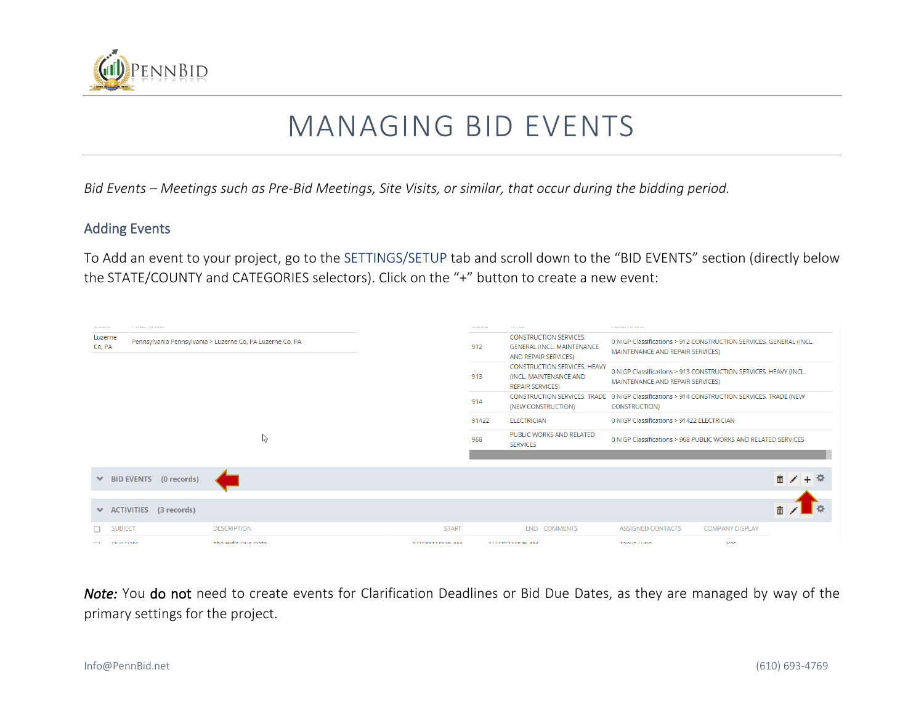

## MANAGING BID EVENTS

*Bid Events – Meetings such as Pre-Bid Meetings, Site Visits, or similar, that occur during the bidding period.* 

## Adding Events

To Add an event to your project, go to the SETTINGS/SETUP tab and scroll down to the "BID EVENTS" section (directly below the STATE/COUNTY and CATEGORIES selectors). Click on the "+" button to create a new event:



*Note:* You do not need to create events for Clarification Deadlines or Bid Due Dates, as they are managed by way of the primary settings for the project.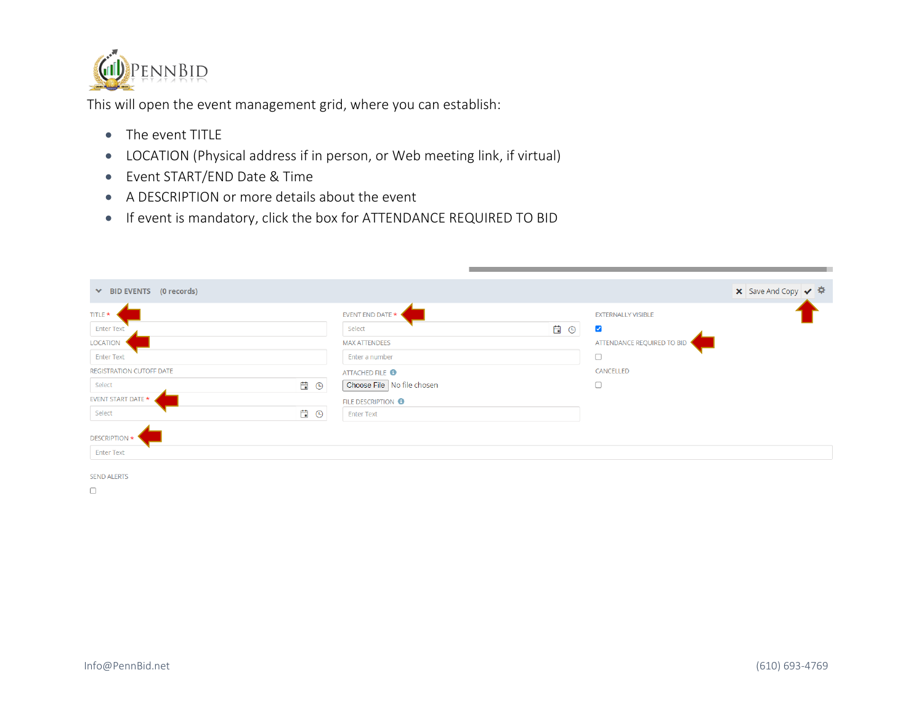

This will open the event management grid, where you can establish:

- The event TITLE
- LOCATION (Physical address if in person, or Web meeting link, if virtual)
- Event START/END Date & Time
- A DESCRIPTION or more details about the event
- If event is mandatory, click the box for ATTENDANCE REQUIRED TO BID

| TITLE <sup>*</sup>              |                | EVENT END DATE $\star$        |     | <b>EXTERNALLY VISIBLE</b>  |  |
|---------------------------------|----------------|-------------------------------|-----|----------------------------|--|
| <b>Enter Text</b>               |                | Select                        | E 0 | $\blacktriangledown$       |  |
| <b>LOCATION</b>                 |                | <b>MAX ATTENDEES</b>          |     | ATTENDANCE REQUIRED TO BID |  |
| <b>Enter Text</b>               |                | Enter a number                |     |                            |  |
| <b>REGISTRATION CUTOFF DATE</b> |                | ATTACHED FILE <sup>6</sup>    |     | CANCELLED                  |  |
| Select                          | 白 <sup>○</sup> | Choose File No file chosen    |     | $\Box$                     |  |
| EVENT START DATE *              |                | FILE DESCRIPTION <sup>8</sup> |     |                            |  |
| Select                          | E O            | <b>Enter Text</b>             |     |                            |  |
|                                 |                |                               |     |                            |  |
| DESCRIPTION *                   |                |                               |     |                            |  |

 $\Box$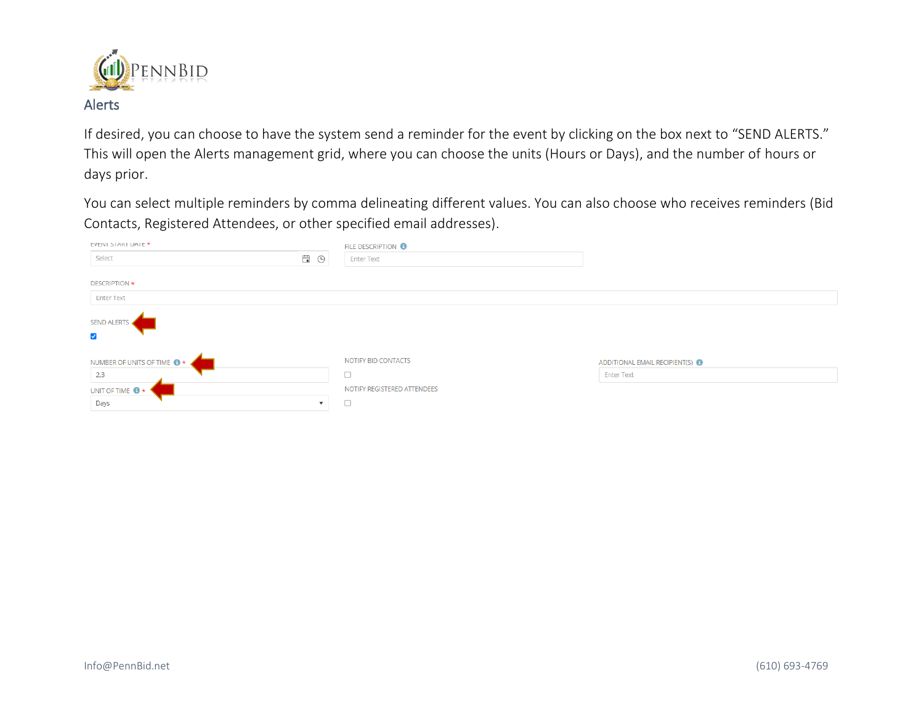

If desired, you can choose to have the system send a reminder for the event by clicking on the box next to "SEND ALERTS." This will open the Alerts management grid, where you can choose the units (Hours or Days), and the number of hours or days prior.

You can select multiple reminders by comma delineating different values. You can also choose who receives reminders (Bid Contacts, Registered Attendees, or other specified email addresses).

| EVENT START DATE *                         |     |              | FILE DESCRIPTION <sup>6</sup> |                               |
|--------------------------------------------|-----|--------------|-------------------------------|-------------------------------|
| Select                                     | E O |              | <b>Enter Text</b>             |                               |
|                                            |     |              |                               |                               |
| <b>DESCRIPTION *</b>                       |     |              |                               |                               |
| <b>Enter Text</b>                          |     |              |                               |                               |
| <b>SEND ALERTS</b><br>$\blacktriangledown$ |     |              |                               |                               |
| NUMBER OF UNITS OF TIME <sup>3</sup>       |     |              | NOTIFY BID CONTACTS           | ADDITIONAL EMAIL RECIPIENT(S) |
| 2,3                                        |     |              | □                             | <b>Enter Text</b>             |
| UNIT OF TIME <sup>8</sup>                  |     |              | NOTIFY REGISTERED ATTENDEES   |                               |
| Days                                       |     | $\mathbf{v}$ | $\Box$                        |                               |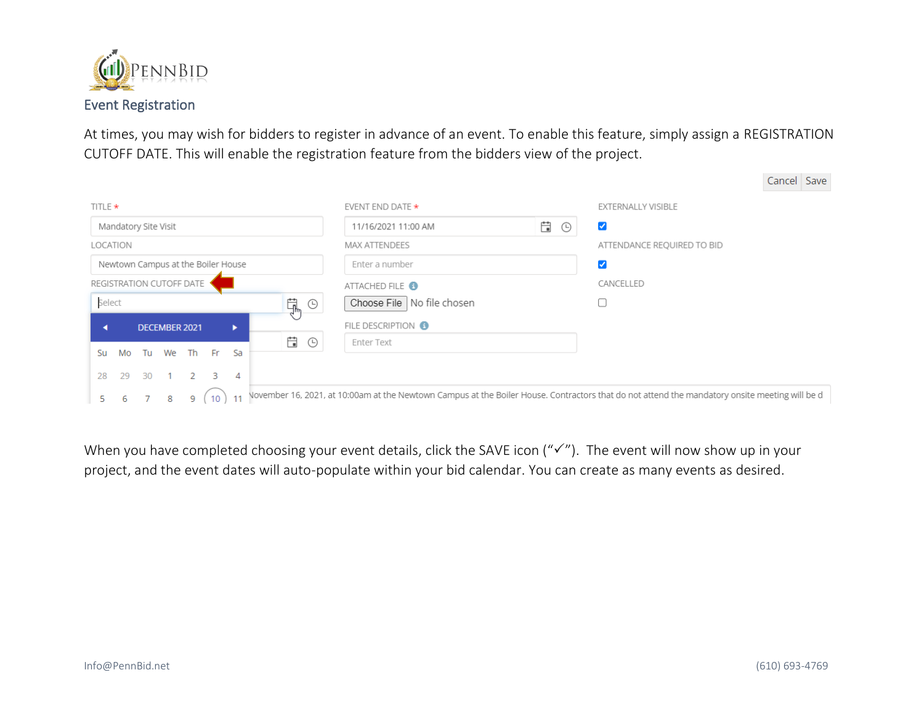

At times, you may wish for bidders to register in advance of an event. To enable this feature, simply assign a REGISTRATION CUTOFF DATE. This will enable the registration feature from the bidders view of the project.

| TITLE *                                                                      | EVENT END DATE $\star$        | <b>EXTERNALLY VISIBLE</b>  |                                                                                                                                                |  |
|------------------------------------------------------------------------------|-------------------------------|----------------------------|------------------------------------------------------------------------------------------------------------------------------------------------|--|
| Mandatory Site Visit                                                         | 11/16/2021 11:00 AM           | Ë<br>⊍                     |                                                                                                                                                |  |
| LOCATION                                                                     | <b>MAX ATTENDEES</b>          | ATTENDANCE REQUIRED TO BID |                                                                                                                                                |  |
| Newtown Campus at the Boiler House                                           | Enter a number                | ✓                          |                                                                                                                                                |  |
| REGISTRATION CUTOFF DATE                                                     | ATTACHED FILE <sup>6</sup>    | CANCELLED                  |                                                                                                                                                |  |
| <b>草</b> ©<br>Select                                                         | Choose File   No file chosen  |                            |                                                                                                                                                |  |
| DECEMBER 2021<br>٠                                                           | FILE DESCRIPTION <sup>8</sup> |                            |                                                                                                                                                |  |
| Ë<br>$\odot$<br>We<br>Th T<br>Fr.<br>$Sa -$<br>Tu<br>Su<br>Mo                | Enter Text                    |                            |                                                                                                                                                |  |
| 29<br>30<br>$\mathcal{P}$<br>$\overline{\mathbf{3}}$<br>28<br>$\overline{4}$ |                               |                            |                                                                                                                                                |  |
| 10<br>11<br>9<br>8<br>5.<br>6                                                |                               |                            | November 16, 2021, at 10:00am at the Newtown Campus at the Boiler House. Contractors that do not attend the mandatory onsite meeting will be d |  |

When you have completed choosing your event details, click the SAVE icon (" $\checkmark$ "). The event will now show up in your project, and the event dates will auto-populate within your bid calendar. You can create as many events as desired.

Cancel Save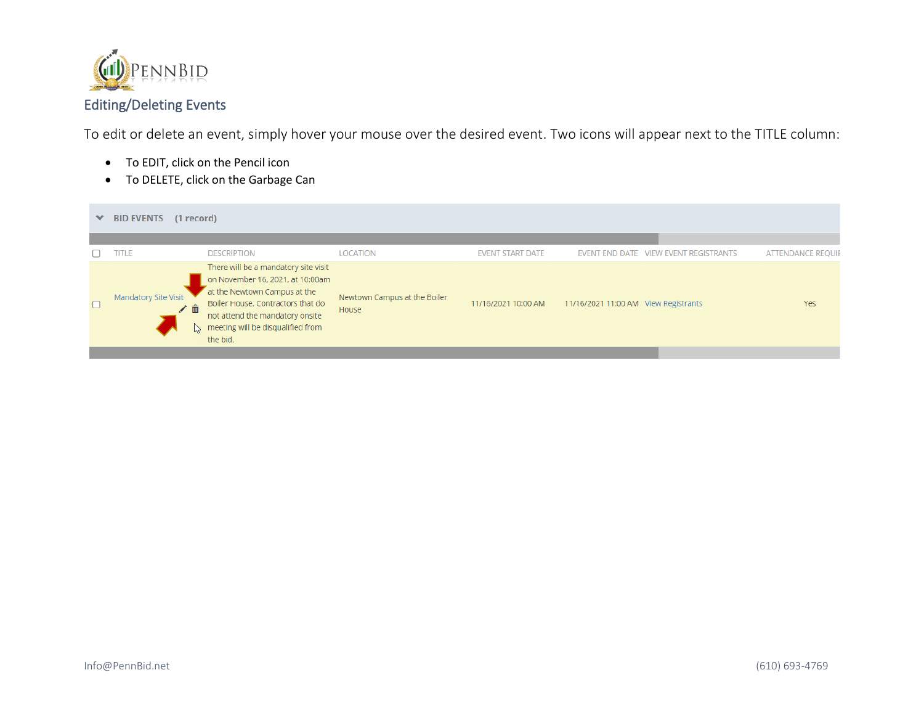

## Editing/Deleting Events

To edit or delete an event, simply hover your mouse over the desired event. Two icons will appear next to the TITLE column:

- To EDIT, click on the Pencil icon
- To DELETE, click on the Garbage Can

| <b>BID EVENTS</b><br>(1 record)<br>$\checkmark$ |                                                                                                                                                                                                                                   |                                       |                         |                                      |                                       |                          |  |
|-------------------------------------------------|-----------------------------------------------------------------------------------------------------------------------------------------------------------------------------------------------------------------------------------|---------------------------------------|-------------------------|--------------------------------------|---------------------------------------|--------------------------|--|
|                                                 |                                                                                                                                                                                                                                   |                                       |                         |                                      |                                       |                          |  |
| <b>TITLE</b>                                    | <b>DESCRIPTION</b>                                                                                                                                                                                                                | <b>LOCATION</b>                       | <b>EVENT START DATE</b> |                                      | EVENT END DATE VIEW EVENT REGISTRANTS | <b>ATTENDANCE REQUIF</b> |  |
| <b>Mandatory Site Visit</b><br>面<br>∕           | There will be a mandatory site visit<br>on November 16, 2021, at 10:00am<br>at the Newtown Campus at the<br>Boiler House. Contractors that do<br>not attend the mandatory onsite<br>meeting will be disqualified from<br>the bid. | Newtown Campus at the Boiler<br>House | 11/16/2021 10:00 AM     | 11/16/2021 11:00 AM View Registrants |                                       | <b>Yes</b>               |  |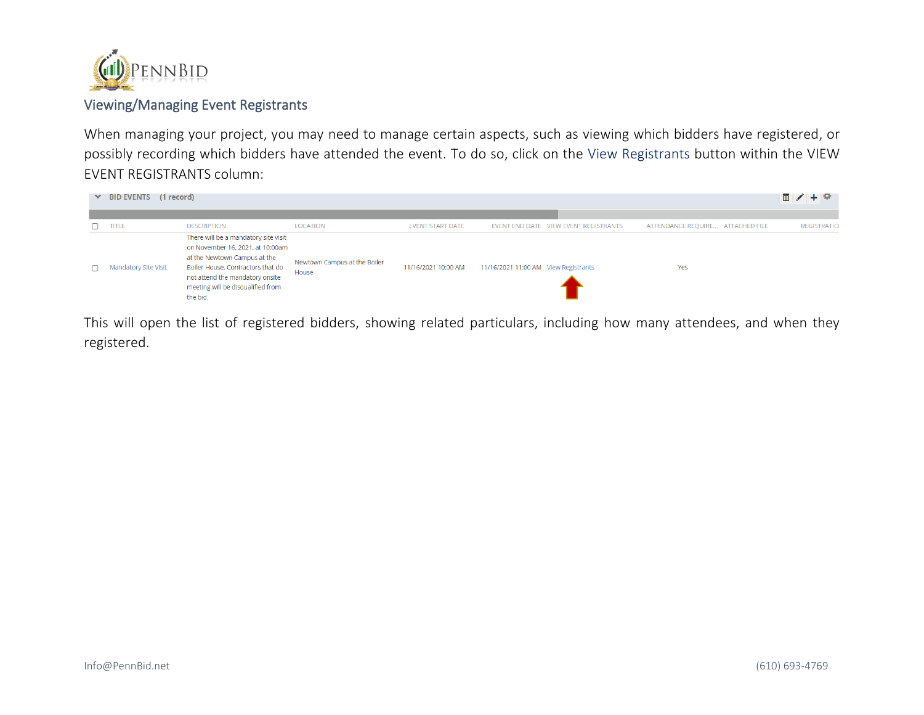

## Viewing/Managing Event Registrants

When managing your project, you may need to manage certain aspects, such as viewing which bidders have registered, or possibly recording which bidders have attended the event. To do so, click on the View Registrants button within the VIEW EVENT REGISTRANTS column:

| $\vee$ BID EVENTS (1 record) |                                                                                                                                                                                                                                   |                                       |                         |                                      |                                       |                                  | 画/+卒               |
|------------------------------|-----------------------------------------------------------------------------------------------------------------------------------------------------------------------------------------------------------------------------------|---------------------------------------|-------------------------|--------------------------------------|---------------------------------------|----------------------------------|--------------------|
| <b>ATLE</b>                  | <b>DESCRIPTION</b>                                                                                                                                                                                                                | <b>LOCATION</b>                       | <b>EVENT START DATE</b> |                                      | EVENT END DATE VIEW EVENT REGISTRANTS | ATTENDANCE REQUIRE ATTACHED FILE | <b>REGISTRATIO</b> |
| <b>Mandatory Site Visit</b>  | There will be a mandatory site visit<br>on November 16, 2021, at 10:00am<br>at the Newtown Campus at the<br>Boiler House. Contractors that do<br>not attend the mandatory onsite<br>meeting will be disqualified from<br>the bid. | Newtown Campus at the Boiler<br>House | 11/16/2021 10:00 AM     | 11/16/2021 11:00 AM View Registrants |                                       | Yes                              |                    |

This will open the list of registered bidders, showing related particulars, including how many attendees, and when they registered.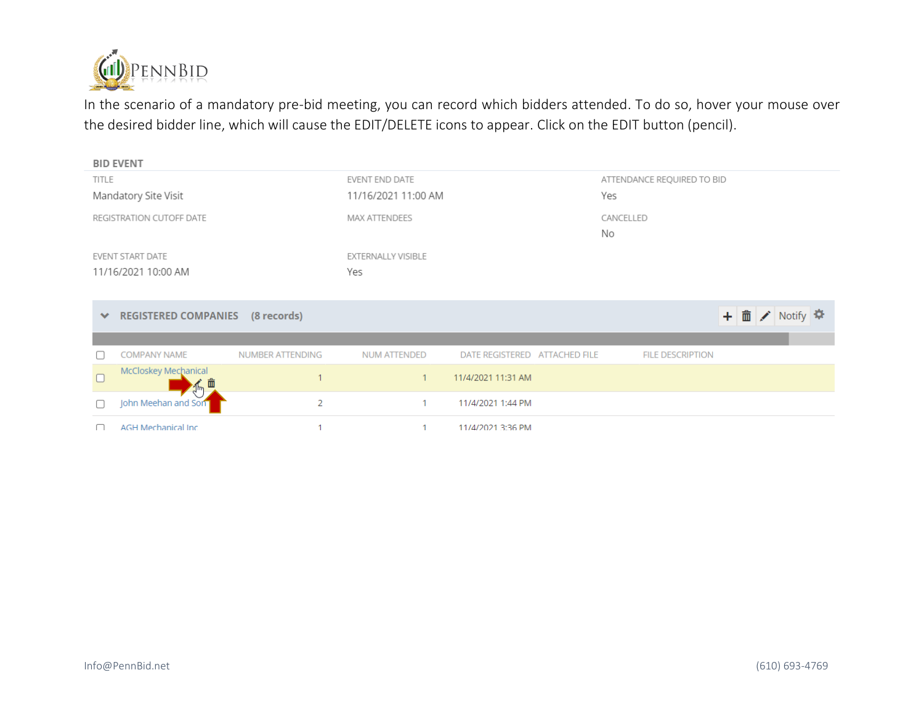

In the scenario of a mandatory pre-bid meeting, you can record which bidders attended. To do so, hover your mouse over the desired bidder line, which will cause the EDIT/DELETE icons to appear. Click on the EDIT button (pencil).

|              | <b>BID EVENT</b>            |                  |                      |                               |                 |                            |                |  |
|--------------|-----------------------------|------------------|----------------------|-------------------------------|-----------------|----------------------------|----------------|--|
| <b>TITLE</b> |                             |                  | EVENT END DATE       |                               |                 | ATTENDANCE REQUIRED TO BID |                |  |
|              | Mandatory Site Visit        |                  | 11/16/2021 11:00 AM  |                               | Yes             |                            |                |  |
|              | REGISTRATION CUTOFF DATE    |                  | <b>MAX ATTENDEES</b> |                               | CANCELLED<br>No |                            |                |  |
|              | <b>EVENT START DATE</b>     |                  | EXTERNALLY VISIBLE   |                               |                 |                            |                |  |
|              | 11/16/2021 10:00 AM         |                  | Yes                  |                               |                 |                            |                |  |
|              |                             |                  |                      |                               |                 |                            |                |  |
| $\checkmark$ | <b>REGISTERED COMPANIES</b> | (8 records)      |                      |                               |                 |                            | + 面 / Notify 幸 |  |
|              |                             |                  |                      |                               |                 |                            |                |  |
|              | <b>COMPANY NAME</b>         | NUMBER ATTENDING | <b>NUM ATTENDED</b>  | DATE REGISTERED ATTACHED FILE |                 | <b>FILE DESCRIPTION</b>    |                |  |
| $\Box$       | McCloskey Mechanical        |                  | $\mathbf{1}$         | 11/4/2021 11:31 AM            |                 |                            |                |  |
| ∩            | John Meehan and Son         | 2                | 1                    | 11/4/2021 1:44 PM             |                 |                            |                |  |
| n            | <b>AGH Mechanical Inc.</b>  |                  | 1                    | 11/4/2021 3:36 PM             |                 |                            |                |  |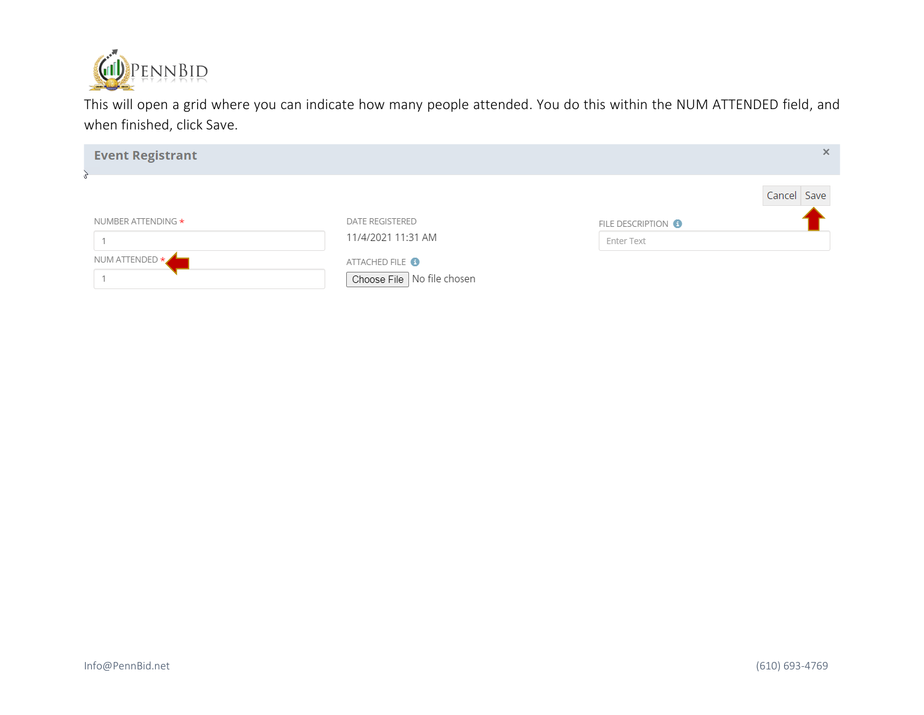

This will open a grid where you can indicate how many people attended. You do this within the NUM ATTENDED field, and when finished, click Save.

| NUMBER ATTENDING *<br>DATE REGISTERED<br>11/4/2021 11:31 AM<br>NUM ATTENDED *<br>ATTACHED FILE <sup>8</sup><br>Choose File No file chosen | Cancel Save<br>FILE DESCRIPTION <sup>8</sup><br>Enter Text |
|-------------------------------------------------------------------------------------------------------------------------------------------|------------------------------------------------------------|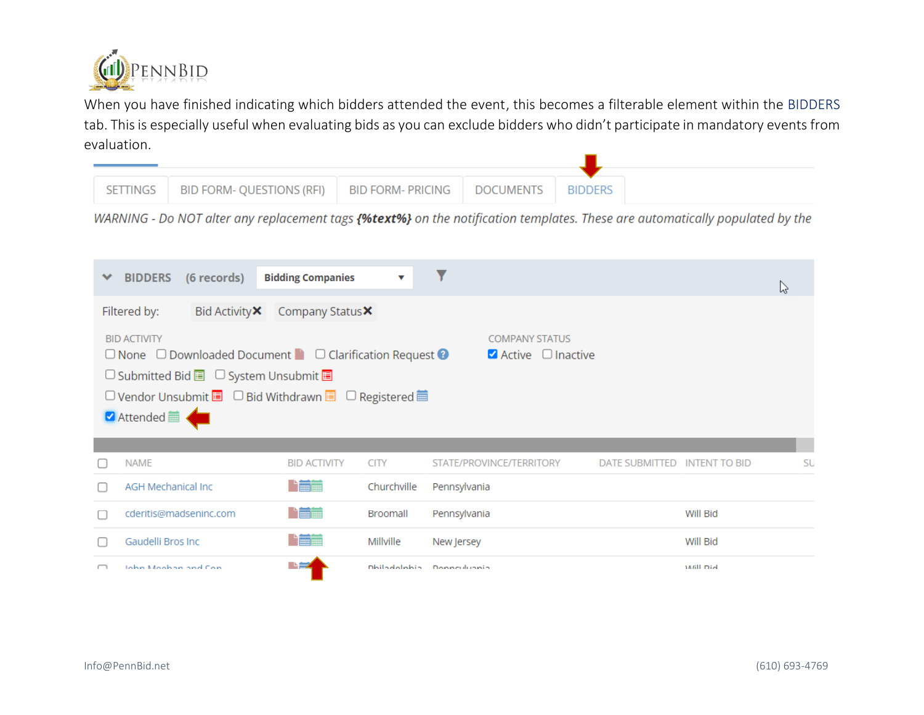

When you have finished indicating which bidders attended the event, this becomes a filterable element within the BIDDERS tab. This is especially useful when evaluating bids as you can exclude bidders who didn't participate in mandatory events from evaluation.

| SETTINGS | BID FORM- QUESTIONS (RFI)   BID FORM- PRICING   DOCUMENTS |  | <b>BIDDERS</b> |
|----------|-----------------------------------------------------------|--|----------------|

WARNING - Do NOT alter any replacement tags {%text%} on the notification templates. These are automatically populated by the

| (6 records)<br><b>BIDDERS</b>                                                                                                                                                                                                                                                                               | <b>Bidding Companies</b> | $\checkmark$ |                               |                |                      | じ  |
|-------------------------------------------------------------------------------------------------------------------------------------------------------------------------------------------------------------------------------------------------------------------------------------------------------------|--------------------------|--------------|-------------------------------|----------------|----------------------|----|
| Filtered by:<br>Bid Activity <b>X</b>                                                                                                                                                                                                                                                                       | Company Status X         |              |                               |                |                      |    |
| <b>BID ACTIVITY</b><br><b>COMPANY STATUS</b><br>$\Box$ None $\Box$ Downloaded Document $\Box$ $\Box$ Clarification Request $\odot$<br>$\blacksquare$ Active $\blacksquare$ Inactive<br>□ Submitted Bid ■ □ System Unsubmit ■<br>□ Vendor Unsubmit ■ □ Bid Withdrawn ■ □ Registered ■<br><b>Ø</b> Attended ■ |                          |              |                               |                |                      |    |
| <b>NAME</b>                                                                                                                                                                                                                                                                                                 | <b>BID ACTIVITY</b>      | <b>CITY</b>  | STATE/PROVINCE/TERRITORY      | DATE SUBMITTED | <b>INTENT TO BID</b> | SU |
| <b>AGH Mechanical Inc.</b>                                                                                                                                                                                                                                                                                  | ■                        | Churchville  | Pennsylvania                  |                |                      |    |
| cderitis@madseninc.com                                                                                                                                                                                                                                                                                      | 哈爾                       | Broomall     | Pennsylvania                  |                | Will Bid             |    |
| Gaudelli Bros Inc                                                                                                                                                                                                                                                                                           | <b>Timber</b>            | Millville    | New Jersey                    |                | Will Bid             |    |
| John Moobon and Con-                                                                                                                                                                                                                                                                                        |                          |              | Distinguishing Democraticants |                | Lin Ilhar            |    |